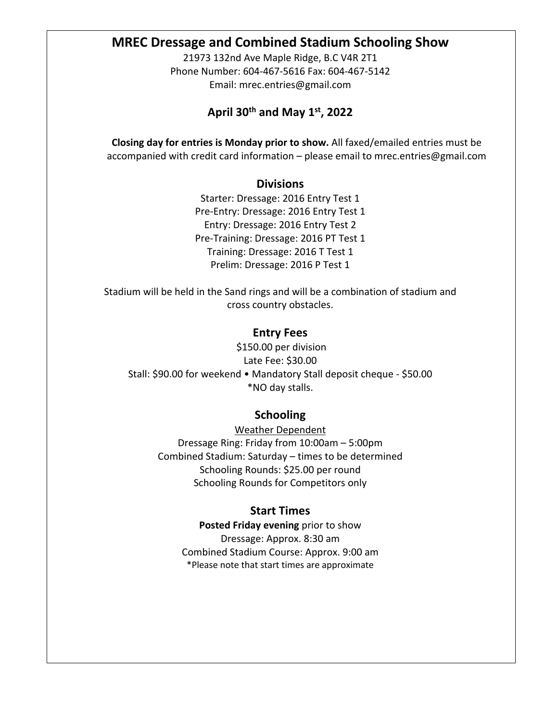# **MREC Dressage and Combined Stadium Schooling Show**

21973 132nd Ave Maple Ridge, B.C V4R 2T1 Phone Number: 604-467-5616 Fax: 604-467-5142 Email: mrec.entries@gmail.com

# **April 30th and May 1st, 2022**

**Closing day for entries is Monday prior to show.** All faxed/emailed entries must be accompanied with credit card information – please email to mrec.entries@gmail.com

### **Divisions**

Starter: Dressage: 2016 Entry Test 1 Pre-Entry: Dressage: 2016 Entry Test 1 Entry: Dressage: 2016 Entry Test 2 Pre-Training: Dressage: 2016 PT Test 1 Training: Dressage: 2016 T Test 1 Prelim: Dressage: 2016 P Test 1

Stadium will be held in the Sand rings and will be a combination of stadium and cross country obstacles.

#### **Entry Fees**

\$150.00 per division Late Fee: \$30.00 Stall: \$90.00 for weekend • Mandatory Stall deposit cheque - \$50.00 \*NO day stalls.

## **Schooling**

Weather Dependent Dressage Ring: Friday from 10:00am – 5:00pm Combined Stadium: Saturday – times to be determined Schooling Rounds: \$25.00 per round Schooling Rounds for Competitors only

### **Start Times**

**Posted Friday evening** prior to show Dressage: Approx. 8:30 am Combined Stadium Course: Approx. 9:00 am \*Please note that start times are approximate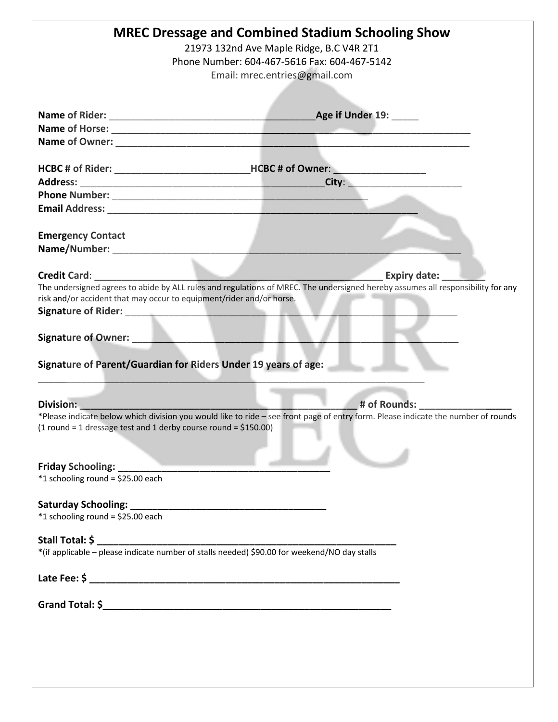| <b>MREC Dressage and Combined Stadium Schooling Show</b>                                                                                                                                                                            |  |
|-------------------------------------------------------------------------------------------------------------------------------------------------------------------------------------------------------------------------------------|--|
| 21973 132nd Ave Maple Ridge, B.C V4R 2T1                                                                                                                                                                                            |  |
| Phone Number: 604-467-5616 Fax: 604-467-5142                                                                                                                                                                                        |  |
| Email: mrec.entries@gmail.com                                                                                                                                                                                                       |  |
|                                                                                                                                                                                                                                     |  |
|                                                                                                                                                                                                                                     |  |
|                                                                                                                                                                                                                                     |  |
| Name of Horse: <u>experience</u> and a series of the series of the series of the series of the series of the series of the series of the series of the series of the series of the series of the series of the series of the series |  |
|                                                                                                                                                                                                                                     |  |
|                                                                                                                                                                                                                                     |  |
|                                                                                                                                                                                                                                     |  |
|                                                                                                                                                                                                                                     |  |
|                                                                                                                                                                                                                                     |  |
|                                                                                                                                                                                                                                     |  |
|                                                                                                                                                                                                                                     |  |
|                                                                                                                                                                                                                                     |  |
| <b>Emergency Contact</b>                                                                                                                                                                                                            |  |
|                                                                                                                                                                                                                                     |  |
|                                                                                                                                                                                                                                     |  |
| <b>Credit Card:</b> Credit Card<br><b>Expiry date:</b>                                                                                                                                                                              |  |
| The undersigned agrees to abide by ALL rules and regulations of MREC. The undersigned hereby assumes all responsibility for any<br>risk and/or accident that may occur to equipment/rider and/or horse.                             |  |
|                                                                                                                                                                                                                                     |  |
|                                                                                                                                                                                                                                     |  |
|                                                                                                                                                                                                                                     |  |
| Signature of Owner: New York Signature of Owner:                                                                                                                                                                                    |  |
|                                                                                                                                                                                                                                     |  |
| Signature of Parent/Guardian for Riders Under 19 years of age:                                                                                                                                                                      |  |
|                                                                                                                                                                                                                                     |  |
|                                                                                                                                                                                                                                     |  |
| # of Rounds:<br><b>Division:</b>                                                                                                                                                                                                    |  |
| *Please indicate below which division you would like to ride - see front page of entry form. Please indicate the number of rounds                                                                                                   |  |
| $(1$ round = 1 dressage test and 1 derby course round = \$150.00)                                                                                                                                                                   |  |
|                                                                                                                                                                                                                                     |  |
|                                                                                                                                                                                                                                     |  |
|                                                                                                                                                                                                                                     |  |
| *1 schooling round = \$25.00 each                                                                                                                                                                                                   |  |
|                                                                                                                                                                                                                                     |  |
|                                                                                                                                                                                                                                     |  |
| *1 schooling round = \$25.00 each                                                                                                                                                                                                   |  |
| Stall Total: \$                                                                                                                                                                                                                     |  |
| *(if applicable – please indicate number of stalls needed) \$90.00 for weekend/NO day stalls                                                                                                                                        |  |
|                                                                                                                                                                                                                                     |  |
|                                                                                                                                                                                                                                     |  |
|                                                                                                                                                                                                                                     |  |
|                                                                                                                                                                                                                                     |  |
|                                                                                                                                                                                                                                     |  |
|                                                                                                                                                                                                                                     |  |
|                                                                                                                                                                                                                                     |  |
|                                                                                                                                                                                                                                     |  |
|                                                                                                                                                                                                                                     |  |